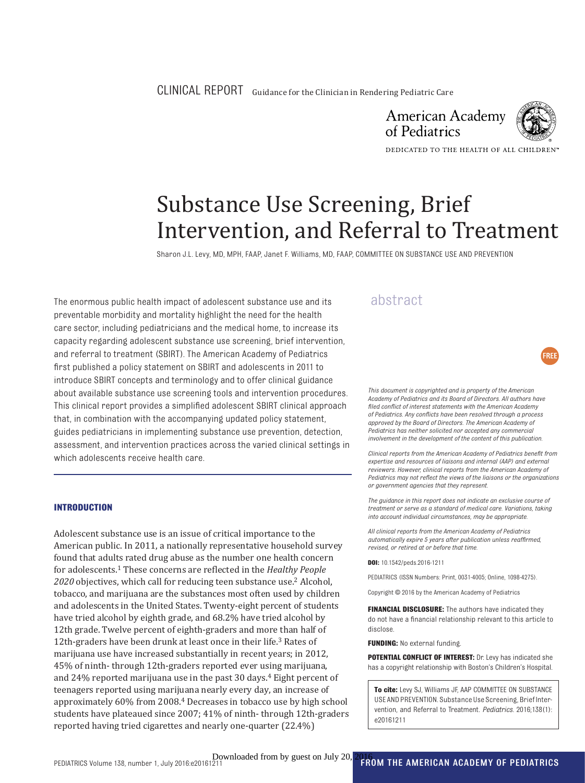CLINICAL REPORT Guidance for the Clinician in Rendering Pediatric Care





**RE** 

DEDICATED TO THE HEALTH OF ALL CHILDREN"

## Substance Use Screening, Brief Intervention, and Referral to Treatment

Sharon J.L. Levy, MD, MPH, FAAP, Janet F. Williams, MD, FAAP, COMMITTEE ON SUBSTANCE USE AND PREVENTION

The enormous public health impact of adolescent substance use and its  $a\bar{b}$ stract preventable morbidity and mortality highlight the need for the health care sector, including pediatricians and the medical home, to increase its capacity regarding adolescent substance use screening, brief intervention, and referral to treatment (SBIRT). The American Academy of Pediatrics first published a policy statement on SBIRT and adolescents in 2011 to introduce SBIRT concepts and terminology and to offer clinical guidance about available substance use screening tools and intervention procedures. This clinical report provides a simplified adolescent SBIRT clinical approach that, in combination with the accompanying updated policy statement, guides pediatricians in implementing substance use prevention, detection, assessment, and intervention practices across the varied clinical settings in which adolescents receive health care.

#### **INTRODUCTION**

Adolescent substance use is an issue of critical importance to the American public. In 2011, a nationally representative household survey found that adults rated drug abuse as the number one health concern for adolescents.1 These concerns are reflected in the *Healthy People*  2020 objectives, which call for reducing teen substance use.<sup>2</sup> Alcohol, tobacco, and marijuana are the substances most often used by children and adolescents in the United States. Twenty-eight percent of students have tried alcohol by eighth grade, and 68.2% have tried alcohol by 12th grade. Twelve percent of eighth-graders and more than half of 12th-graders have been drunk at least once in their life.<sup>3</sup> Rates of marijuana use have increased substantially in recent years; in 2012, 45% of ninth- through 12th-graders reported ever using marijuana, and 24% reported marijuana use in the past 30 days.<sup>4</sup> Eight percent of teenagers reported using marijuana nearly every day, an increase of approximately 60% from 2008.4 Decreases in tobacco use by high school students have plateaued since 2007; 41% of ninth- through 12th-graders reported having tried cigarettes and nearly one-quarter (22.4%)

*This document is copyrighted and is property of the American Academy of Pediatrics and its Board of Directors. All authors have fi led confl ict of interest statements with the American Academy of Pediatrics. Any confl icts have been resolved through a process approved by the Board of Directors. The American Academy of Pediatrics has neither solicited nor accepted any commercial involvement in the development of the content of this publication.*

*Clinical reports from the American Academy of Pediatrics benefi t from expertise and resources of liaisons and internal (AAP) and external reviewers. However, clinical reports from the American Academy of*  Pediatrics may not reflect the views of the liaisons or the organizations *or government agencies that they represent.*

*The guidance in this report does not indicate an exclusive course of treatment or serve as a standard of medical care. Variations, taking into account individual circumstances, may be appropriate.*

*All clinical reports from the American Academy of Pediatrics*  automatically expire 5 years after publication unless reaffirmed, *revised, or retired at or before that time.*

**DOI:** 10.1542/peds.2016-1211

PEDIATRICS (ISSN Numbers: Print, 0031-4005; Online, 1098-4275).

Copyright © 2016 by the American Academy of Pediatrics

**FINANCIAL DISCLOSURE:** The authors have indicated they do not have a financial relationship relevant to this article to disclose.

**FUNDING:** No external funding.

**POTENTIAL CONFLICT OF INTEREST:** Dr. Levy has indicated she has a copyright relationship with Boston's Children's Hospital.

**To cite:** Levy SJ, Williams JF, AAP COMMITTEE ON SUBSTANCE USE AND PREVENTION. Substance Use Screening, Brief Intervention, and Referral to Treatment. *Pediatrics.* 2016;138(1): e20161211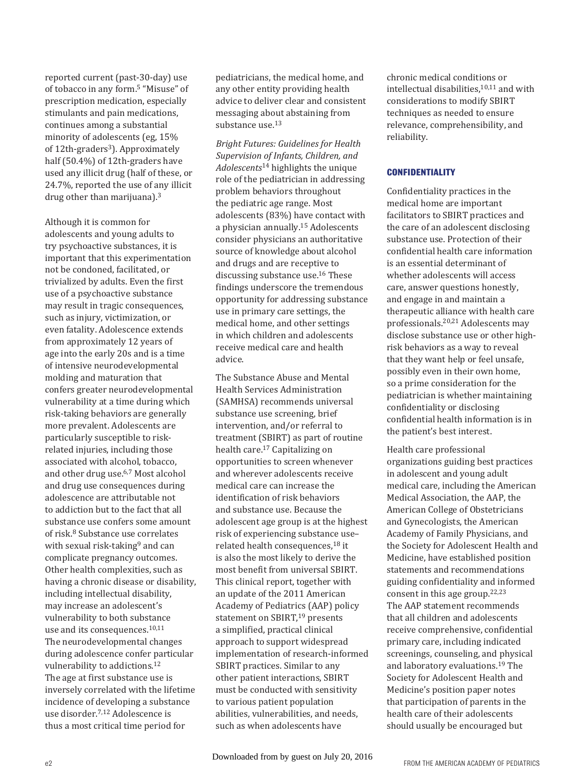reported current (past-30-day) use of tobacco in any form.5 "Misuse" of prescription medication, especially stimulants and pain medications, continues among a substantial minority of adolescents (eg, 15% of  $12$ th-graders<sup>3</sup>). Approximately half (50.4%) of 12th-graders have used any illicit drug (half of these, or 24.7%, reported the use of any illicit drug other than marijuana).3

Although it is common for adolescents and young adults to try psychoactive substances, it is important that this experimentation not be condoned, facilitated, or trivialized by adults. Even the first use of a psychoactive substance may result in tragic consequences, such as injury, victimization, or even fatality. Adolescence extends from approximately 12 years of age into the early 20s and is a time of intensive neurodevelopmental molding and maturation that confers greater neurodevelopmental vulnerability at a time during which risk-taking behaviors are generally more prevalent. Adolescents are particularly susceptible to riskrelated injuries, including those associated with alcohol, tobacco, and other drug use.<sup>6,7</sup> Most alcohol and drug use consequences during adolescence are attributable not to addiction but to the fact that all substance use confers some amount of risk.<sup>8</sup> Substance use correlates with sexual risk-taking<sup>9</sup> and can complicate pregnancy outcomes. Other health complexities, such as having a chronic disease or disability, including intellectual disability, may increase an adolescent's vulnerability to both substance use and its consequences.<sup>10,11</sup> The neurodevelopmental changes during adolescence confer particular vulnerability to addictions.<sup>12</sup> The age at first substance use is inversely correlated with the lifetime incidence of developing a substance use disorder.<sup>7,12</sup> Adolescence is thus a most critical time period for

pediatricians, the medical home, and any other entity providing health advice to deliver clear and consistent messaging about abstaining from substance use.<sup>13</sup>

*Bright Futures: Guidelines for Health Supervision of Infants, Children, and Adolescents*14 highlights the unique role of the pediatrician in addressing problem behaviors throughout the pediatric age range. Most adolescents (83%) have contact with a physician annually.15 Adolescents consider physicians an authoritative source of knowledge about alcohol and drugs and are receptive to discussing substance use.16 These findings underscore the tremendous opportunity for addressing substance use in primary care settings, the medical home, and other settings in which children and adolescents receive medical care and health advice.

The Substance Abuse and Mental Health Services Administration (SAMHSA) recommends universal substance use screening, brief intervention, and/or referral to treatment (SBIRT) as part of routine health care.17 Capitalizing on opportunities to screen whenever and wherever adolescents receive medical care can increase the identification of risk behaviors and substance use. Because the adolescent age group is at the highest risk of experiencing substance use– related health consequences,<sup>18</sup> it is also the most likely to derive the most benefit from universal SBIRT. This clinical report, together with an update of the 2011 American Academy of Pediatrics (AAP) policy statement on SBIRT, 19 presents a simplified, practical clinical approach to support widespread implementation of research-informed SBIRT practices. Similar to any other patient interactions, SBIRT must be conducted with sensitivity to various patient population abilities, vulnerabilities, and needs, such as when adolescents have

chronic medical conditions or intellectual disabilities, <sup>10, 11</sup> and with considerations to modify SBIRT techniques as needed to ensure relevance, comprehensibility, and reliability.

#### **CONFIDENTIALITY**

Confidentiality practices in the medical home are important facilitators to SBIRT practices and the care of an adolescent disclosing substance use. Protection of their confidential health care information is an essential determinant of whether adolescents will access care, answer questions honestly, and engage in and maintain a therapeutic alliance with health care professionals.<sup>20,21</sup> Adolescents may disclose substance use or other highrisk behaviors as a way to reveal that they want help or feel unsafe, possibly even in their own home, so a prime consideration for the pediatrician is whether maintaining confidentiality or disclosing confidential health information is in the patient's best interest.

Health care professional organizations guiding best practices in adolescent and young adult medical care, including the American Medical Association, the AAP, the American College of Obstetricians and Gynecologists, the American Academy of Family Physicians, and the Society for Adolescent Health and Medicine, have established position statements and recommendations guiding confidentiality and informed consent in this age group. $22,23$ The AAP statement recommends that all children and adolescents receive comprehensive, confidential primary care, including indicated screenings, counseling, and physical and laboratory evaluations.19 The Society for Adolescent Health and Medicine's position paper notes that participation of parents in the health care of their adolescents should usually be encouraged but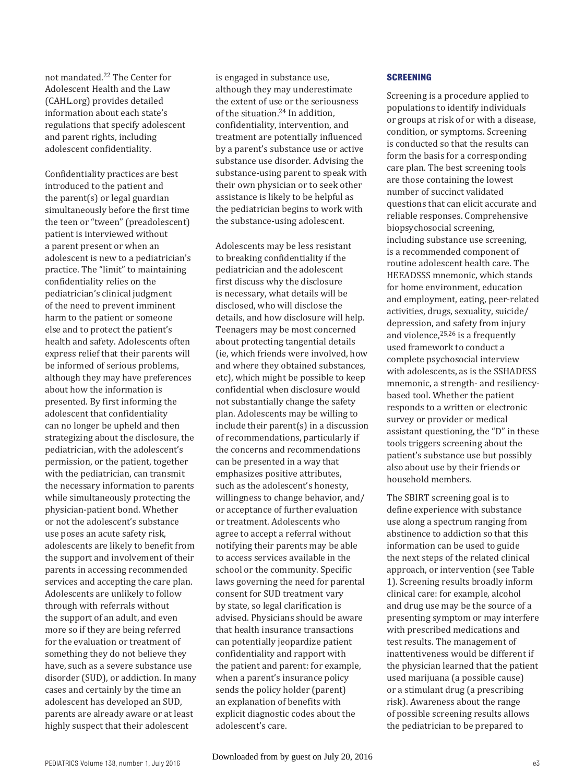not mandated.22 The Center for Adolescent Health and the Law (CAHL.org) provides detailed information about each state's regulations that specify adolescent and parent rights, including adolescent confidentiality.

Confidentiality practices are best introduced to the patient and the parent(s) or legal guardian simultaneously before the first time the teen or "tween" (preadolescent) patient is interviewed without a parent present or when an adolescent is new to a pediatrician's practice. The "limit" to maintaining confidentiality relies on the pediatrician's clinical judgment of the need to prevent imminent harm to the patient or someone else and to protect the patient's health and safety. Adolescents often express relief that their parents will be informed of serious problems, although they may have preferences about how the information is presented. By first informing the adolescent that confidentiality can no longer be upheld and then strategizing about the disclosure, the pediatrician, with the adolescent's permission, or the patient, together with the pediatrician, can transmit the necessary information to parents while simultaneously protecting the physician-patient bond. Whether or not the adolescent's substance use poses an acute safety risk, adolescents are likely to benefit from the support and involvement of their parents in accessing recommended services and accepting the care plan. Adolescents are unlikely to follow through with referrals without the support of an adult, and even more so if they are being referred for the evaluation or treatment of something they do not believe they have, such as a severe substance use disorder (SUD), or addiction. In many cases and certainly by the time an adolescent has developed an SUD, parents are already aware or at least highly suspect that their adolescent

is engaged in substance use, although they may underestimate the extent of use or the seriousness of the situation.24 In addition, confidentiality, intervention, and treatment are potentially influenced by a parent's substance use or active substance use disorder. Advising the substance-using parent to speak with their own physician or to seek other assistance is likely to be helpful as the pediatrician begins to work with the substance-using adolescent.

Adolescents may be less resistant to breaking confidentiality if the pediatrician and the adolescent first discuss why the disclosure is necessary, what details will be disclosed, who will disclose the details, and how disclosure will help. Teenagers may be most concerned about protecting tangential details (ie, which friends were involved, how and where they obtained substances, etc), which might be possible to keep confidential when disclosure would not substantially change the safety plan. Adolescents may be willing to include their parent(s) in a discussion of recommendations, particularly if the concerns and recommendations can be presented in a way that emphasizes positive attributes, such as the adolescent's honesty, willingness to change behavior, and/ or acceptance of further evaluation or treatment. Adolescents who agree to accept a referral without notifying their parents may be able to access services available in the school or the community. Specific laws governing the need for parental consent for SUD treatment vary by state, so legal clarification is advised. Physicians should be aware that health insurance transactions can potentially jeopardize patient confidentiality and rapport with the patient and parent: for example, when a parent's insurance policy sends the policy holder (parent) an explanation of benefits with explicit diagnostic codes about the adolescent's care.

#### **SCREENING**

Screening is a procedure applied to populations to identify individuals or groups at risk of or with a disease, condition, or symptoms. Screening is conducted so that the results can form the basis for a corresponding care plan. The best screening tools are those containing the lowest number of succinct validated questions that can elicit accurate and reliable responses. Comprehensive biopsychosocial screening, including substance use screening, is a recommended component of routine adolescent health care. The HEEADSSS mnemonic, which stands for home environment, education and employment, eating, peer-related activities, drugs, sexuality, suicide/ depression, and safety from injury and violence, 25,26 is a frequently used framework to conduct a complete psychosocial interview with adolescents, as is the SSHADESS mnemonic, a strength- and resiliencybased tool. Whether the patient responds to a written or electronic survey or provider or medical assistant questioning, the "D" in these tools triggers screening about the patient's substance use but possibly also about use by their friends or household members.

The SBIRT screening goal is to define experience with substance use along a spectrum ranging from abstinence to addiction so that this information can be used to guide the next steps of the related clinical approach, or intervention (see Table 1). Screening results broadly inform clinical care: for example, alcohol and drug use may be the source of a presenting symptom or may interfere with prescribed medications and test results. The management of inattentiveness would be different if the physician learned that the patient used marijuana (a possible cause) or a stimulant drug (a prescribing risk). Awareness about the range of possible screening results allows the pediatrician to be prepared to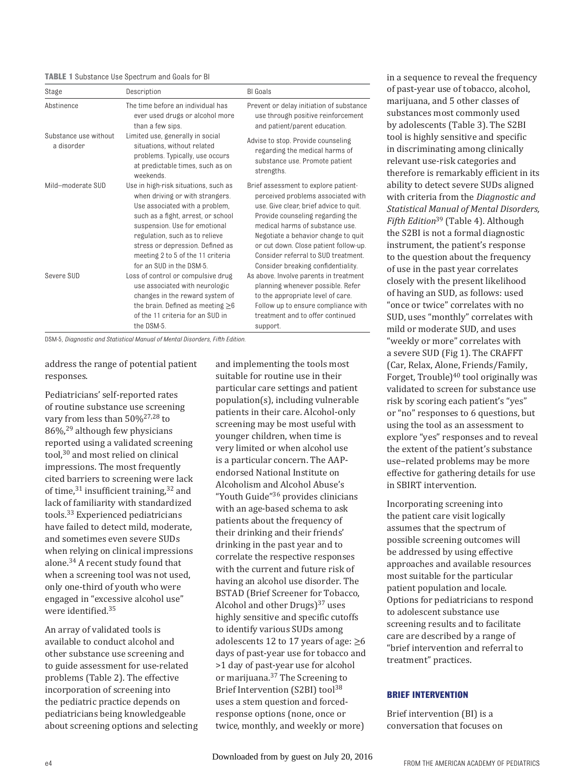**TABLE 1** Substance Use Spectrum and Goals for BI

| Stage                               | Description                                                                                                                                                                                                                                                                                                             | <b>BI</b> Goals                                                                                                                                                                                                                                                                                                                                          |
|-------------------------------------|-------------------------------------------------------------------------------------------------------------------------------------------------------------------------------------------------------------------------------------------------------------------------------------------------------------------------|----------------------------------------------------------------------------------------------------------------------------------------------------------------------------------------------------------------------------------------------------------------------------------------------------------------------------------------------------------|
| Abstinence                          | The time before an individual has<br>ever used drugs or alcohol more<br>than a few sips.                                                                                                                                                                                                                                | Prevent or delay initiation of substance<br>use through positive reinforcement<br>and patient/parent education.                                                                                                                                                                                                                                          |
| Substance use without<br>a disorder | Limited use, generally in social<br>situations, without related<br>problems. Typically, use occurs<br>at predictable times, such as on<br>weekends.                                                                                                                                                                     | Advise to stop. Provide counseling<br>regarding the medical harms of<br>substance use. Promote patient<br>strengths.                                                                                                                                                                                                                                     |
| Mild-moderate SUD                   | Use in high-risk situations, such as<br>when driving or with strangers.<br>Use associated with a problem.<br>such as a fight, arrest, or school<br>suspension. Use for emotional<br>regulation, such as to relieve<br>stress or depression. Defined as<br>meeting 2 to 5 of the 11 criteria<br>for an SUD in the DSM-5. | Brief assessment to explore patient-<br>perceived problems associated with<br>use. Give clear, brief advice to quit.<br>Provide counseling regarding the<br>medical harms of substance use.<br>Negotiate a behavior change to quit<br>or cut down. Close patient follow-up.<br>Consider referral to SUD treatment.<br>Consider breaking confidentiality. |
| Severe SUD                          | Loss of control or compulsive drug<br>use associated with neurologic<br>changes in the reward system of<br>the brain. Defined as meeting $\geq 6$<br>of the 11 criteria for an SUD in<br>the DSM-5.                                                                                                                     | As above. Involve parents in treatment<br>planning whenever possible. Refer<br>to the appropriate level of care.<br>Follow up to ensure compliance with<br>treatment and to offer continued<br>support.                                                                                                                                                  |

DSM-5, *Diagnostic and Statistical Manual of Mental Disorders, Fifth Edition.*

address the range of potential patient responses.

Pediatricians' self-reported rates of routine substance use screening vary from less than 50%<sup>27,28</sup> to 86%,<sup>29</sup> although few physicians reported using a validated screening tool,<sup>30</sup> and most relied on clinical impressions. The most frequently cited barriers to screening were lack of time, $31$  insufficient training, $32$  and lack of familiarity with standardized tools.33 Experienced pediatricians have failed to detect mild, moderate, and sometimes even severe SUDs when relying on clinical impressions alone.34 A recent study found that when a screening tool was not used, only one-third of youth who were engaged in "excessive alcohol use" were identified.35

An array of validated tools is available to conduct alcohol and other substance use screening and to guide assessment for use-related problems (Table 2). The effective incorporation of screening into the pediatric practice depends on pediatricians being knowledgeable about screening options and selecting

and implementing the tools most suitable for routine use in their particular care settings and patient population(s), including vulnerable patients in their care. Alcohol-only screening may be most useful with younger children, when time is very limited or when alcohol use is a particular concern. The AAPendorsed National Institute on Alcoholism and Alcohol Abuse's "Youth Guide"36 provides clinicians with an age-based schema to ask patients about the frequency of their drinking and their friends' drinking in the past year and to correlate the respective responses with the current and future risk of having an alcohol use disorder. The BSTAD (Brief Screener for Tobacco, Alcohol and other Drugs)<sup>37</sup> uses highly sensitive and specific cutoffs to identify various SUDs among adolescents 12 to 17 years of age:  $\geq 6$ days of past-year use for tobacco and >1 day of past-year use for alcohol or marijuana.37 The Screening to Brief Intervention (S2BI) tool<sup>38</sup> uses a stem question and forcedresponse options (none, once or twice, monthly, and weekly or more)

in a sequence to reveal the frequency of past-year use of tobacco, alcohol, marijuana, and 5 other classes of substances most commonly used by adolescents (Table 3). The S2BI tool is highly sensitive and specific in discriminating among clinically relevant use-risk categories and therefore is remarkably efficient in its ability to detect severe SUDs aligned with criteria from the *Diagnostic and Statistical Manual of Mental Disorders, Fifth Edition*39 (Table 4). Although the S2BI is not a formal diagnostic instrument, the patient's response to the question about the frequency of use in the past year correlates closely with the present likelihood of having an SUD, as follows: used "once or twice" correlates with no SUD, uses "monthly" correlates with mild or moderate SUD, and uses "weekly or more" correlates with a severe SUD (Fig 1). The CRAFFT (Car, Relax, Alone, Friends/Family, Forget, Trouble)<sup>40</sup> tool originally was validated to screen for substance use risk by scoring each patient's "yes" or "no" responses to 6 questions, but using the tool as an assessment to explore "yes" responses and to reveal the extent of the patient's substance use–related problems may be more effective for gathering details for use in SBIRT intervention.

Incorporating screening into the patient care visit logically assumes that the spectrum of possible screening outcomes will be addressed by using effective approaches and available resources most suitable for the particular patient population and locale. Options for pediatricians to respond to adolescent substance use screening results and to facilitate care are described by a range of "brief intervention and referral to treatment" practices.

#### **BRIEF INTERVENTION**

Brief intervention (BI) is a conversation that focuses on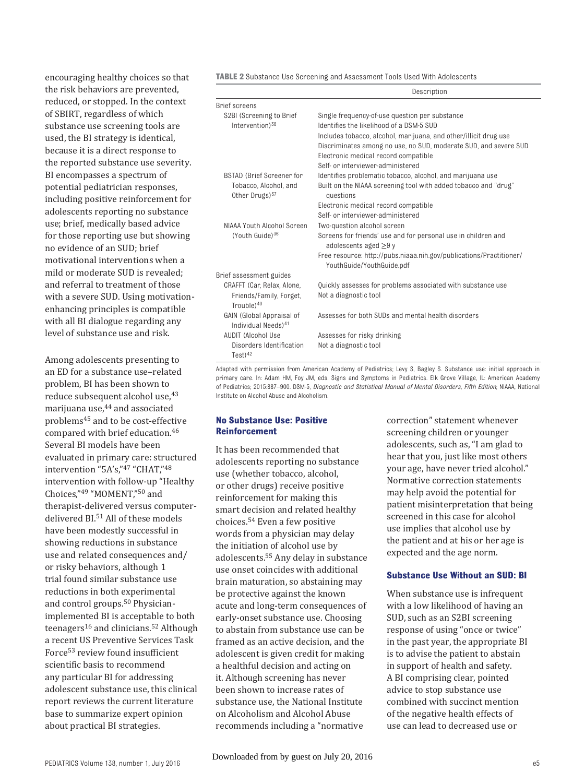encouraging healthy choices so that the risk behaviors are prevented, reduced, or stopped. In the context of SBIRT, regardless of which substance use screening tools are used, the BI strategy is identical, because it is a direct response to the reported substance use severity. BI encompasses a spectrum of potential pediatrician responses, including positive reinforcement for adolescents reporting no substance use; brief, medically based advice for those reporting use but showing no evidence of an SUD; brief motivational interventions when a mild or moderate SUD is revealed; and referral to treatment of those with a severe SUD. Using motivationenhancing principles is compatible with all BI dialogue regarding any level of substance use and risk.

Among adolescents presenting to an ED for a substance use–related problem, BI has been shown to reduce subsequent alcohol use, 43 marijuana use, <sup>44</sup> and associated problems45 and to be cost-effective compared with brief education.46 Several BI models have been evaluated in primary care: structured intervention "5A's,"<sup>47</sup> "CHAT,"<sup>48</sup> intervention with follow-up "Healthy Choices,"49 "MOMENT,"<sup>50</sup> and therapist-delivered versus computerdelivered BI.<sup>51</sup> All of these models have been modestly successful in showing reductions in substance use and related consequences and/ or risky behaviors, although 1 trial found similar substance use reductions in both experimental and control groups.50 Physicianimplemented BI is acceptable to both teenagers<sup>16</sup> and clinicians.<sup>52</sup> Although a recent US Preventive Services Task Force53 review found insufficient scientific basis to recommend any particular BI for addressing adolescent substance use, this clinical report reviews the current literature base to summarize expert opinion about practical BI strategies.

**TABLE 2** Substance Use Screening and Assessment Tools Used With Adolescents

|                                                                           | Description                                                                                                                                                                                                                                                                                                     |
|---------------------------------------------------------------------------|-----------------------------------------------------------------------------------------------------------------------------------------------------------------------------------------------------------------------------------------------------------------------------------------------------------------|
| <b>Brief screens</b>                                                      |                                                                                                                                                                                                                                                                                                                 |
| S2BI (Screening to Brief<br>Intervention) $38$                            | Single frequency-of-use question per substance<br>Identifies the likelihood of a DSM-5 SUD<br>Includes tobacco, alcohol, marijuana, and other/illicit drug use<br>Discriminates among no use, no SUD, moderate SUD, and severe SUD<br>Electronic medical record compatible<br>Self- or interviewer-administered |
| BSTAD (Brief Screener for<br>Tobacco, Alcohol, and<br>Other Drugs) $37$   | Identifies problematic tobacco, alcohol, and marijuana use<br>Built on the NIAAA screening tool with added tobacco and "drug"<br>questions<br>Electronic medical record compatible<br>Self- or interviewer-administered                                                                                         |
| NIAAA Youth Alcohol Screen<br>(Youth Guide) $36$                          | Two-question alcohol screen<br>Screens for friends' use and for personal use in children and<br>adolescents aged $\geq$ 9 y<br>Free resource: http://pubs.niaaa.nih.gov/publications/Practitioner/<br>YouthGuide/YouthGuide.pdf                                                                                 |
| Brief assessment guides                                                   |                                                                                                                                                                                                                                                                                                                 |
| CRAFFT (Car, Relax, Alone,<br>Friends/Family, Forget,<br>Trouble $)^{40}$ | Quickly assesses for problems associated with substance use<br>Not a diagnostic tool                                                                                                                                                                                                                            |
| GAIN (Global Appraisal of<br>Individual Needs) <sup>41</sup>              | Assesses for both SUDs and mental health disorders                                                                                                                                                                                                                                                              |
| <b>AUDIT (Alcohol Use)</b>                                                | Assesses for risky drinking                                                                                                                                                                                                                                                                                     |
| Disorders Identification<br>$Test$ <sup>42</sup>                          | Not a diagnostic tool                                                                                                                                                                                                                                                                                           |

Adapted with permission from American Academy of Pediatrics; Levy S, Bagley S. Substance use: initial approach in primary care. In: Adam HM, Foy JM, eds. Signs and Symptoms in Pediatrics. Elk Grove Village, IL: American Academy of Pediatrics; 2015:887–900. DSM-5, *Diagnostic and Statistical Manual of Mental Disorders, Fifth Edition*; NIAAA, National Institute on Alcohol Abuse and Alcoholism.

#### **No Substance Use: Positive Reinforcement**

It has been recommended that adolescents reporting no substance use (whether tobacco, alcohol, or other drugs) receive positive reinforcement for making this smart decision and related healthy choices.54 Even a few positive words from a physician may delay the initiation of alcohol use by adolescents.55 Any delay in substance use onset coincides with additional brain maturation, so abstaining may be protective against the known acute and long-term consequences of early-onset substance use. Choosing to abstain from substance use can be framed as an active decision, and the adolescent is given credit for making a healthful decision and acting on it. Although screening has never been shown to increase rates of substance use, the National Institute on Alcoholism and Alcohol Abuse recommends including a "normative

correction" statement whenever screening children or younger adolescents, such as, "I am glad to hear that you, just like most others your age, have never tried alcohol." Normative correction statements may help avoid the potential for patient misinterpretation that being screened in this case for alcohol use implies that alcohol use by the patient and at his or her age is expected and the age norm.

#### **Substance Use Without an SUD: BI**

When substance use is infrequent with a low likelihood of having an SUD, such as an S2BI screening response of using "once or twice" in the past year, the appropriate BI is to advise the patient to abstain in support of health and safety. A BI comprising clear, pointed advice to stop substance use combined with succinct mention of the negative health effects of use can lead to decreased use or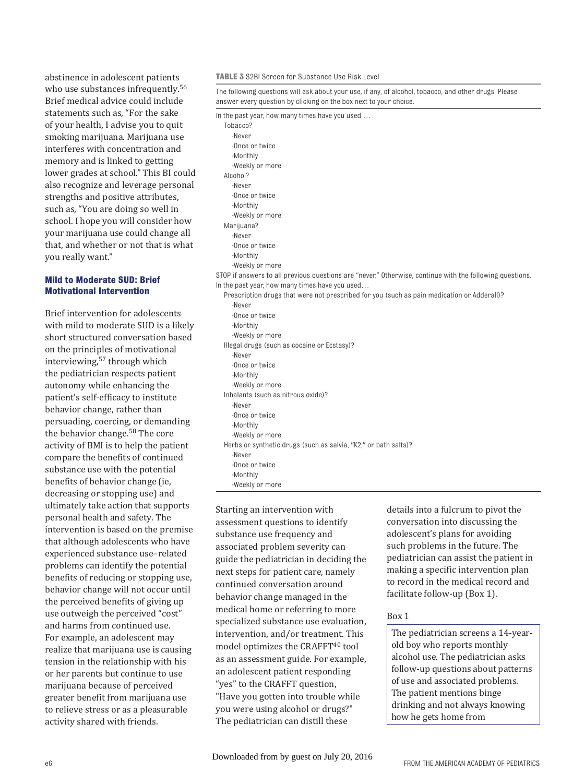abstinence in adolescent patients who use substances infrequently.<sup>56</sup> Brief medical advice could include statements such as, "For the sake of your health, I advise you to quit smoking marijuana. Marijuana use interferes with concentration and memory and is linked to getting lower grades at school." This BI could also recognize and leverage personal strengths and positive attributes, such as, "You are doing so well in school. I hope you will consider how your marijuana use could change all that, and whether or not that is what you really want."

#### **Mild to Moderate SUD: Brief Motivational Intervention**

Brief intervention for adolescents with mild to moderate SUD is a likely short structured conversation based on the principles of motivational interviewing, 57 through which the pediatrician respects patient autonomy while enhancing the patient's self-efficacy to institute behavior change, rather than persuading, coercing, or demanding the behavior change.<sup>58</sup> The core activity of BMI is to help the patient compare the benefits of continued substance use with the potential benefits of behavior change (ie, decreasing or stopping use) and ultimately take action that supports personal health and safety. The intervention is based on the premise that although adolescents who have experienced substance use–related problems can identify the potential benefits of reducing or stopping use, behavior change will not occur until the perceived benefits of giving up use outweigh the perceived "cost" and harms from continued use. For example, an adolescent may realize that marijuana use is causing tension in the relationship with his or her parents but continue to use marijuana because of perceived greater benefit from marijuana use to relieve stress or as a pleasurable activity shared with friends.

#### **TABLE 3** S2BI Screen for Substance Use Risk Level

| answer every question by clicking on the box next to your choice.                                        |
|----------------------------------------------------------------------------------------------------------|
| In the past year, how many times have you used                                                           |
| Tobacco?                                                                                                 |
| -Never                                                                                                   |
| -Once or twice                                                                                           |
| -Monthly                                                                                                 |
| -Weekly or more                                                                                          |
| Alcohol?                                                                                                 |
| -Never                                                                                                   |
| -Once or twice                                                                                           |
| -Monthly                                                                                                 |
| -Weekly or more                                                                                          |
| Marijuana?                                                                                               |
| -Never                                                                                                   |
| -Once or twice                                                                                           |
| -Monthly                                                                                                 |
| -Weekly or more                                                                                          |
| STOP if answers to all previous questions are "never." Otherwise, continue with the following questions. |
| In the past year, how many times have you used                                                           |
| Prescription drugs that were not prescribed for you (such as pain medication or Adderall)?               |
| -Never                                                                                                   |
| -Once or twice                                                                                           |
| -Monthly                                                                                                 |
| -Weekly or more                                                                                          |
| Illegal drugs (such as cocaine or Ecstasy)?                                                              |
| -Never                                                                                                   |
| -Once or twice                                                                                           |
| -Monthly                                                                                                 |
| -Weekly or more                                                                                          |
| Inhalants (such as nitrous oxide)?                                                                       |
| -Never                                                                                                   |
| -Once or twice                                                                                           |
| -Monthly                                                                                                 |
| -Weekly or more                                                                                          |
| Herbs or synthetic drugs (such as salvia, "K2," or bath salts)?                                          |
| -Never                                                                                                   |
| -Once or twice                                                                                           |
| -Monthly                                                                                                 |
| -Weekly or more                                                                                          |

The following questions will ask about your use, if any, of alcohol, tobacco, and other drugs. Please

Starting an intervention with assessment questions to identify substance use frequency and associated problem severity can guide the pediatrician in deciding the next steps for patient care, namely continued conversation around behavior change managed in the medical home or referring to more specialized substance use evaluation, intervention, and/or treatment. This model optimizes the CRAFFT<sup>40</sup> tool as an assessment guide. For example, an adolescent patient responding "yes" to the CRAFFT question, "Have you gotten into trouble while you were using alcohol or drugs?" The pediatrician can distill these

details into a fulcrum to pivot the conversation into discussing the adolescent's plans for avoiding such problems in the future. The pediatrician can assist the patient in making a specific intervention plan to record in the medical record and facilitate follow-up (Box 1).

#### Box 1

The pediatrician screens a 14-yearold boy who reports monthly alcohol use. The pediatrician asks follow-up questions about patterns of use and associated problems. The patient mentions binge drinking and not always knowing how he gets home from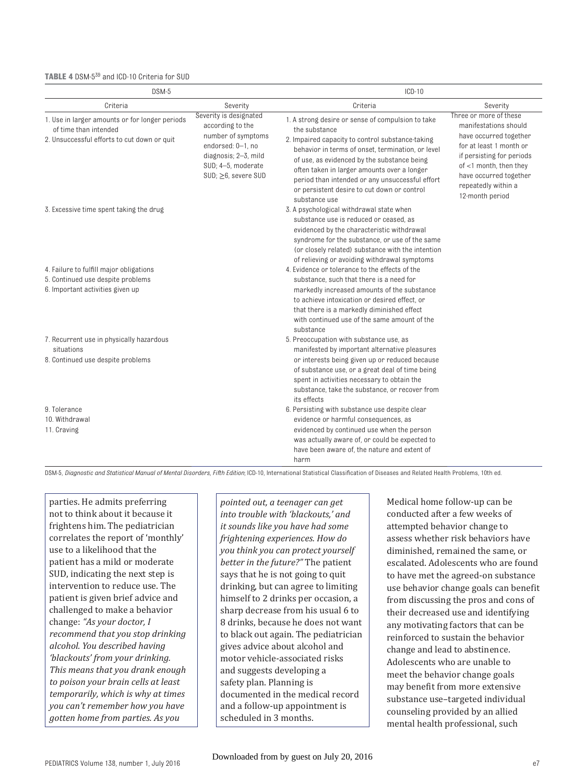#### **TABLE 4** DSM-539 and ICD-10 Criteria for SUD

| DSM-5                                                                                                                  |                                                                                                                                                            | $ICD-10$                                                                                                                                                                                                                                                                                                                                                                                     |                                                                                                                                                                                                                                 |
|------------------------------------------------------------------------------------------------------------------------|------------------------------------------------------------------------------------------------------------------------------------------------------------|----------------------------------------------------------------------------------------------------------------------------------------------------------------------------------------------------------------------------------------------------------------------------------------------------------------------------------------------------------------------------------------------|---------------------------------------------------------------------------------------------------------------------------------------------------------------------------------------------------------------------------------|
| Criteria                                                                                                               | Severity                                                                                                                                                   | Criteria                                                                                                                                                                                                                                                                                                                                                                                     | Severity                                                                                                                                                                                                                        |
| 1. Use in larger amounts or for longer periods<br>of time than intended<br>2. Unsuccessful efforts to cut down or quit | Severity is designated<br>according to the<br>number of symptoms<br>endorsed: 0-1, no<br>diagnosis; 2-3, mild<br>SUD; 4-5, moderate<br>SUD; ≥6, severe SUD | 1. A strong desire or sense of compulsion to take<br>the substance<br>2. Impaired capacity to control substance-taking<br>behavior in terms of onset, termination, or level<br>of use, as evidenced by the substance being<br>often taken in larger amounts over a longer<br>period than intended or any unsuccessful effort<br>or persistent desire to cut down or control<br>substance use | Three or more of these<br>manifestations should<br>have occurred together<br>for at least 1 month or<br>if persisting for periods<br>of <1 month, then they<br>have occurred together<br>repeatedly within a<br>12-month period |
| 3. Excessive time spent taking the drug                                                                                |                                                                                                                                                            | 3. A psychological withdrawal state when<br>substance use is reduced or ceased, as<br>evidenced by the characteristic withdrawal<br>syndrome for the substance, or use of the same<br>(or closely related) substance with the intention<br>of relieving or avoiding withdrawal symptoms                                                                                                      |                                                                                                                                                                                                                                 |
| 4. Failure to fulfill major obligations<br>5. Continued use despite problems<br>6. Important activities given up       |                                                                                                                                                            | 4. Evidence or tolerance to the effects of the<br>substance, such that there is a need for<br>markedly increased amounts of the substance<br>to achieve intoxication or desired effect, or<br>that there is a markedly diminished effect<br>with continued use of the same amount of the<br>substance                                                                                        |                                                                                                                                                                                                                                 |
| 7. Recurrent use in physically hazardous<br>situations<br>8. Continued use despite problems                            |                                                                                                                                                            | 5. Preoccupation with substance use, as<br>manifested by important alternative pleasures<br>or interests being given up or reduced because<br>of substance use, or a great deal of time being<br>spent in activities necessary to obtain the<br>substance, take the substance, or recover from<br>its effects                                                                                |                                                                                                                                                                                                                                 |
| 9. Tolerance<br>10. Withdrawal<br>11. Craving                                                                          |                                                                                                                                                            | 6. Persisting with substance use despite clear<br>evidence or harmful consequences, as<br>evidenced by continued use when the person<br>was actually aware of, or could be expected to<br>have been aware of, the nature and extent of<br>harm                                                                                                                                               |                                                                                                                                                                                                                                 |

DSM-5, Diagnostic and Statistical Manual of Mental Disorders, Fifth Edition; ICD-10, International Statistical Classification of Diseases and Related Health Problems, 10th ed.

parties. He admits preferring not to think about it because it frightens him. The pediatrician correlates the report of 'monthly' use to a likelihood that the patient has a mild or moderate SUD, indicating the next step is intervention to reduce use. The patient is given brief advice and challenged to make a behavior change: *"As your doctor, I recommend that you stop drinking alcohol. You described having 'blackouts' from your drinking. This means that you drank enough to poison your brain cells at least temporarily, which is why at times you can't remember how you have gotten home from parties. As you* 

*pointed out, a teenager can get into trouble with 'blackouts,' and it sounds like you have had some frightening experiences. How do you think you can protect yourself better in the future?"* The patient says that he is not going to quit drinking, but can agree to limiting himself to 2 drinks per occasion, a sharp decrease from his usual 6 to 8 drinks, because he does not want to black out again. The pediatrician gives advice about alcohol and motor vehicle-associated risks and suggests developing a safety plan. Planning is documented in the medical record and a follow-up appointment is scheduled in 3 months.

Medical home follow-up can be conducted after a few weeks of attempted behavior change to assess whether risk behaviors have diminished, remained the same, or escalated. Adolescents who are found to have met the agreed-on substance use behavior change goals can benefit from discussing the pros and cons of their decreased use and identifying any motivating factors that can be reinforced to sustain the behavior change and lead to abstinence. Adolescents who are unable to meet the behavior change goals may benefit from more extensive substance use–targeted individual counseling provided by an allied mental health professional, such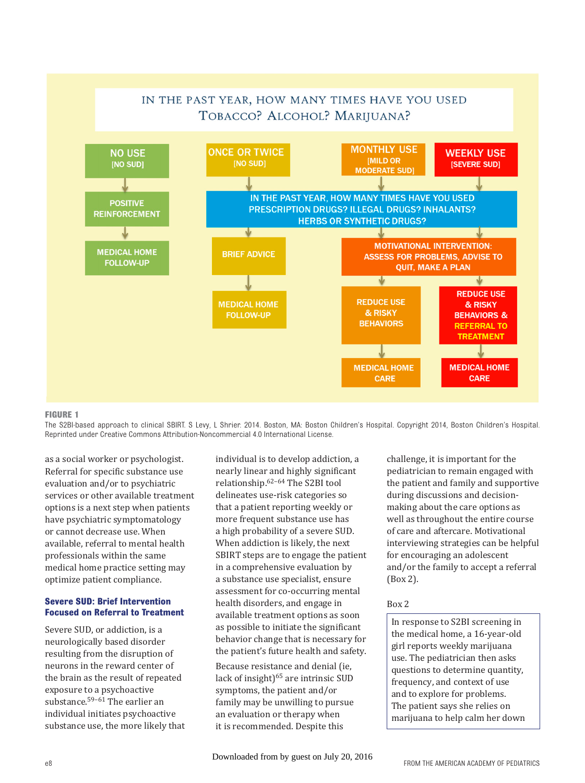

#### **FIGURE 1**

The S2BI-based approach to clinical SBIRT. S Levy, L Shrier. 2014. Boston, MA: Boston Children's Hospital. Copyright 2014, Boston Children's Hospital. Reprinted under Creative Commons Attribution-Noncommercial 4.0 International License.

as a social worker or psychologist. Referral for specific substance use evaluation and/or to psychiatric services or other available treatment options is a next step when patients have psychiatric symptomatology or cannot decrease use. When available, referral to mental health professionals within the same medical home practice setting may optimize patient compliance.

#### **Severe SUD: Brief Intervention Focused on Referral to Treatment**

Severe SUD, or addiction, is a neurologically based disorder resulting from the disruption of neurons in the reward center of the brain as the result of repeated exposure to a psychoactive substance.59–61 The earlier an individual initiates psychoactive substance use, the more likely that

individual is to develop addiction, a nearly linear and highly significant relationship.62–64 The S2BI tool delineates use-risk categories so that a patient reporting weekly or more frequent substance use has a high probability of a severe SUD. When addiction is likely, the next SBIRT steps are to engage the patient in a comprehensive evaluation by a substance use specialist, ensure assessment for co-occurring mental health disorders, and engage in available treatment options as soon as possible to initiate the significant behavior change that is necessary for the patient's future health and safety.

Because resistance and denial (ie, lack of insight)<sup>65</sup> are intrinsic SUD symptoms, the patient and/or family may be unwilling to pursue an evaluation or therapy when it is recommended. Despite this

challenge, it is important for the pediatrician to remain engaged with the patient and family and supportive during discussions and decisionmaking about the care options as well as throughout the entire course of care and aftercare. Motivational interviewing strategies can be helpful for encouraging an adolescent and/or the family to accept a referral (Box 2).

#### Box 2

In response to S2BI screening in the medical home, a 16-year-old girl reports weekly marijuana use. The pediatrician then asks questions to determine quantity, frequency, and context of use and to explore for problems. The patient says she relies on marijuana to help calm her down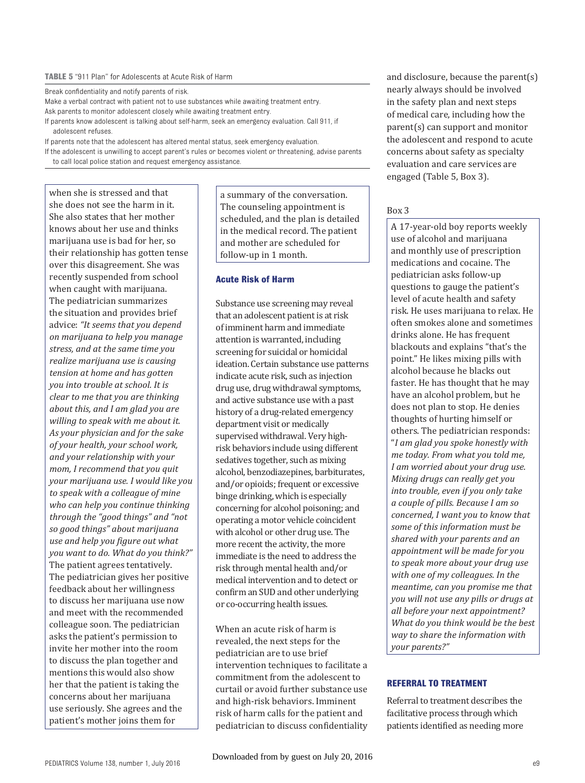#### **TABLE 5** "911 Plan" for Adolescents at Acute Risk of Harm

Break confidentiality and notify parents of risk.

Make a verbal contract with patient not to use substances while awaiting treatment entry. Ask parents to monitor adolescent closely while awaiting treatment entry.

If parents know adolescent is talking about self-harm, seek an emergency evaluation. Call 911, if adolescent refuses.

If parents note that the adolescent has altered mental status, seek emergency evaluation.

If the adolescent is unwilling to accept parent's rules or becomes violent or threatening, advise parents to call local police station and request emergency assistance.

when she is stressed and that she does not see the harm in it. She also states that her mother knows about her use and thinks marijuana use is bad for her, so their relationship has gotten tense over this disagreement. She was recently suspended from school when caught with marijuana. The pediatrician summarizes the situation and provides brief advice: *"It seems that you depend on marijuana to help you manage stress, and at the same time you realize marijuana use is causing tension at home and has gotten you into trouble at school. It is clear to me that you are thinking about this, and I am glad you are willing to speak with me about it. As your physician and for the sake of your health, your school work, and your relationship with your mom, I recommend that you quit your marijuana use. I would like you to speak with a colleague of mine who can help you continue thinking through the "good things" and "not so good things" about marijuana use and help you figure out what you want to do. What do you think?"* The patient agrees tentatively. The pediatrician gives her positive feedback about her willingness to discuss her marijuana use now and meet with the recommended colleague soon. The pediatrician asks the patient's permission to invite her mother into the room to discuss the plan together and mentions this would also show her that the patient is taking the concerns about her marijuana use seriously. She agrees and the patient's mother joins them for

a summary of the conversation. The counseling appointment is scheduled, and the plan is detailed in the medical record. The patient and mother are scheduled for follow-up in 1 month.

#### **Acute Risk of Harm**

Substance use screening may reveal that an adolescent patient is at risk of imminent harm and immediate attention is warranted, including screening for suicidal or homicidal ideation. Certain substance use patterns indicate acute risk, such as injection drug use, drug withdrawal symptoms, and active substance use with a past history of a drug-related emergency department visit or medically supervised withdrawal. Very highrisk behaviors include using different sedatives together, such as mixing alcohol, benzodiazepines, barbiturates, and/or opioids; frequent or excessive binge drinking, which is especially concerning for alcohol poisoning; and operating a motor vehicle coincident with alcohol or other drug use. The more recent the activity, the more immediate is the need to address the risk through mental health and/or medical intervention and to detect or confirm an SUD and other underlying or co-occurring health issues.

When an acute risk of harm is revealed, the next steps for the pediatrician are to use brief intervention techniques to facilitate a commitment from the adolescent to curtail or avoid further substance use and high-risk behaviors. Imminent risk of harm calls for the patient and pediatrician to discuss confidentiality and disclosure, because the parent(s) nearly always should be involved in the safety plan and next steps of medical care, including how the parent(s) can support and monitor the adolescent and respond to acute concerns about safety as specialty evaluation and care services are engaged (Table 5, Box 3).

#### Box 3

A 17-year-old boy reports weekly use of alcohol and marijuana and monthly use of prescription medications and cocaine. The pediatrician asks follow-up questions to gauge the patient's level of acute health and safety risk. He uses marijuana to relax. He often smokes alone and sometimes drinks alone. He has frequent blackouts and explains "that's the point." He likes mixing pills with alcohol because he blacks out faster. He has thought that he may have an alcohol problem, but he does not plan to stop. He denies thoughts of hurting himself or others. The pediatrician responds: "*I am glad you spoke honestly with me today. From what you told me, I am worried about your drug use. Mixing drugs can really get you into trouble, even if you only take a couple of pills. Because I am so concerned, I want you to know that some of this information must be shared with your parents and an appointment will be made for you to speak more about your drug use with one of my colleagues. In the meantime, can you promise me that you will not use any pills or drugs at all before your next appointment? What do you think would be the best way to share the information with your parents?"*

#### **REFERRAL TO TREATMENT**

Referral to treatment describes the facilitative process through which patients identified as needing more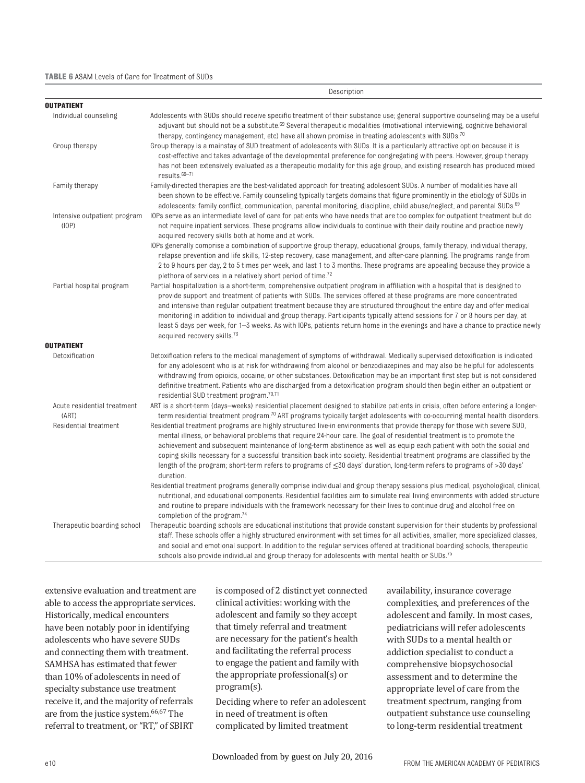#### **TABLE 6** ASAM Levels of Care for Treatment of SUDs

|                                       | Description                                                                                                                                                                                                                                                                                                                                                                                                                                                                                                                                                                                                                                                                                                                                                                                      |
|---------------------------------------|--------------------------------------------------------------------------------------------------------------------------------------------------------------------------------------------------------------------------------------------------------------------------------------------------------------------------------------------------------------------------------------------------------------------------------------------------------------------------------------------------------------------------------------------------------------------------------------------------------------------------------------------------------------------------------------------------------------------------------------------------------------------------------------------------|
| <b>OUTPATIENT</b>                     |                                                                                                                                                                                                                                                                                                                                                                                                                                                                                                                                                                                                                                                                                                                                                                                                  |
| Individual counseling                 | Adolescents with SUDs should receive specific treatment of their substance use; general supportive counseling may be a useful<br>adjuvant but should not be a substitute. <sup>69</sup> Several therapeutic modalities (motivational interviewing, cognitive behavioral<br>therapy, contingency management, etc) have all shown promise in treating adolescents with SUDs. <sup>70</sup>                                                                                                                                                                                                                                                                                                                                                                                                         |
| Group therapy                         | Group therapy is a mainstay of SUD treatment of adolescents with SUDs. It is a particularly attractive option because it is<br>cost-effective and takes advantage of the developmental preference for congregating with peers. However, group therapy<br>has not been extensively evaluated as a therapeutic modality for this age group, and existing research has produced mixed<br>results. <sup>69-71</sup>                                                                                                                                                                                                                                                                                                                                                                                  |
| Family therapy                        | Family-directed therapies are the best-validated approach for treating adolescent SUDs. A number of modalities have all<br>been shown to be effective. Family counseling typically targets domains that figure prominently in the etiology of SUDs in<br>adolescents: family conflict, communication, parental monitoring, discipline, child abuse/neglect, and parental SUDs. <sup>69</sup>                                                                                                                                                                                                                                                                                                                                                                                                     |
| Intensive outpatient program<br>(10P) | IOPs serve as an intermediate level of care for patients who have needs that are too complex for outpatient treatment but do<br>not require inpatient services. These programs allow individuals to continue with their daily routine and practice newly<br>acquired recovery skills both at home and at work.                                                                                                                                                                                                                                                                                                                                                                                                                                                                                   |
|                                       | IOPs generally comprise a combination of supportive group therapy, educational groups, family therapy, individual therapy,<br>relapse prevention and life skills, 12-step recovery, case management, and after-care planning. The programs range from<br>2 to 9 hours per day, 2 to 5 times per week, and last 1 to 3 months. These programs are appealing because they provide a<br>plethora of services in a relatively short period of time. <sup>72</sup>                                                                                                                                                                                                                                                                                                                                    |
| Partial hospital program              | Partial hospitalization is a short-term, comprehensive outpatient program in affiliation with a hospital that is designed to<br>provide support and treatment of patients with SUDs. The services offered at these programs are more concentrated<br>and intensive than regular outpatient treatment because they are structured throughout the entire day and offer medical<br>monitoring in addition to individual and group therapy. Participants typically attend sessions for 7 or 8 hours per day, at<br>least 5 days per week, for 1–3 weeks. As with IOPs, patients return home in the evenings and have a chance to practice newly<br>acquired recovery skills. <sup>73</sup>                                                                                                           |
| OUTPATIENT                            |                                                                                                                                                                                                                                                                                                                                                                                                                                                                                                                                                                                                                                                                                                                                                                                                  |
| Detoxification                        | Detoxification refers to the medical management of symptoms of withdrawal. Medically supervised detoxification is indicated<br>for any adolescent who is at risk for withdrawing from alcohol or benzodiazepines and may also be helpful for adolescents<br>withdrawing from opioids, cocaine, or other substances. Detoxification may be an important first step but is not considered<br>definitive treatment. Patients who are discharged from a detoxification program should then begin either an outpatient or<br>residential SUD treatment program. <sup>70,71</sup>                                                                                                                                                                                                                      |
| Acute residential treatment           | ART is a short-term (days–weeks) residential placement designed to stabilize patients in crisis, often before entering a longer-                                                                                                                                                                                                                                                                                                                                                                                                                                                                                                                                                                                                                                                                 |
| (ART)<br>Residential treatment        | term residential treatment program. <sup>70</sup> ART programs typically target adolescents with co-occurring mental health disorders.<br>Residential treatment programs are highly structured live-in environments that provide therapy for those with severe SUD,<br>mental illness, or behavioral problems that require 24-hour care. The goal of residential treatment is to promote the<br>achievement and subsequent maintenance of long-term abstinence as well as equip each patient with both the social and<br>coping skills necessary for a successful transition back into society. Residential treatment programs are classified by the<br>length of the program; short-term refers to programs of $\leq 30$ days' duration, long-term refers to programs of >30 days'<br>duration. |
|                                       | Residential treatment programs generally comprise individual and group therapy sessions plus medical, psychological, clinical,<br>nutritional, and educational components. Residential facilities aim to simulate real living environments with added structure<br>and routine to prepare individuals with the framework necessary for their lives to continue drug and alcohol free on<br>completion of the program. <sup>74</sup>                                                                                                                                                                                                                                                                                                                                                              |
| Therapeutic boarding school           | Therapeutic boarding schools are educational institutions that provide constant supervision for their students by professional<br>staff. These schools offer a highly structured environment with set times for all activities, smaller, more specialized classes,<br>and social and emotional support. In addition to the regular services offered at traditional boarding schools, therapeutic<br>schools also provide individual and group therapy for adolescents with mental health or SUDs. <sup>75</sup>                                                                                                                                                                                                                                                                                  |

extensive evaluation and treatment are able to access the appropriate services. Historically, medical encounters have been notably poor in identifying adolescents who have severe SUDs and connecting them with treatment. SAMHSA has estimated that fewer than 10% of adolescents in need of specialty substance use treatment receive it, and the majority of referrals are from the justice system.<sup>66,67</sup> The referral to treatment, or "RT," of SBIRT

is composed of 2 distinct yet connected clinical activities: working with the adolescent and family so they accept that timely referral and treatment are necessary for the patient's health and facilitating the referral process to engage the patient and family with the appropriate professional(s) or program(s).

Deciding where to refer an adolescent in need of treatment is often complicated by limited treatment

availability, insurance coverage complexities, and preferences of the adolescent and family. In most cases, pediatricians will refer adolescents with SUDs to a mental health or addiction specialist to conduct a comprehensive biopsychosocial assessment and to determine the appropriate level of care from the treatment spectrum, ranging from outpatient substance use counseling to long-term residential treatment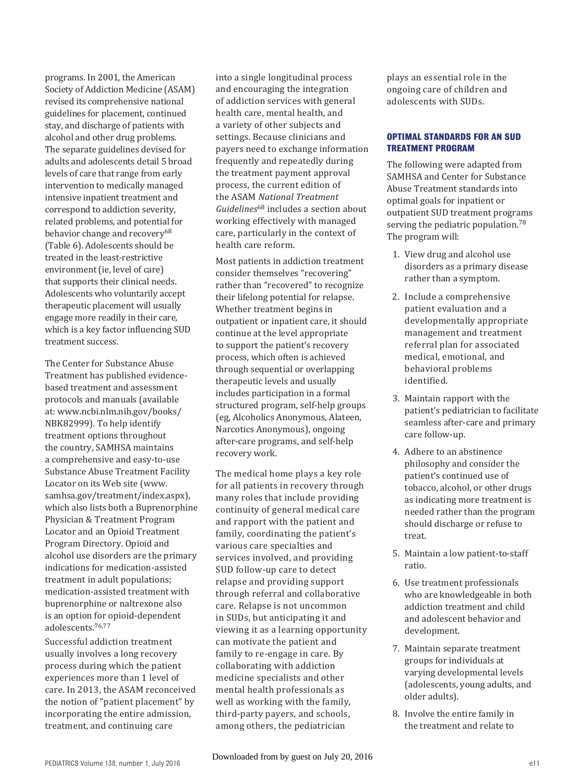programs. In 2001, the American Society of Addiction Medicine (ASAM) revised its comprehensive national guidelines for placement, continued stay, and discharge of patients with alcohol and other drug problems. The separate guidelines devised for adults and adolescents detail 5 broad levels of care that range from early intervention to medically managed intensive inpatient treatment and correspond to addiction severity, related problems, and potential for behavior change and recovery<sup>68</sup> (Table 6). Adolescents should be treated in the least-restrictive environment (ie, level of care) that supports their clinical needs. Adolescents who voluntarily accept therapeutic placement will usually engage more readily in their care, which is a key factor influencing SUD treatment success.

The Center for Substance Abuse Treatment has published evidencebased treatment and assessment protocols and manuals (available at: www.ncbi.nlm.nih.gov/books/ NBK82999). To help identify treatment options throughout the country, SAMHSA maintains a comprehensive and easy-to-use Substance Abuse Treatment Facility Locator on its Web site (www. samhsa.gov/treatment/index.aspx), which also lists both a Buprenorphine Physician & Treatment Program Locator and an Opioid Treatment Program Directory. Opioid and alcohol use disorders are the primary indications for medication-assisted treatment in adult populations; medication-assisted treatment with buprenorphine or naltrexone also is an option for opioid-dependent adolescents.<sup>76,77</sup>

Successful addiction treatment usually involves a long recovery process during which the patient experiences more than 1 level of care. In 2013, the ASAM reconceived the notion of "patient placement" by incorporating the entire admission, treatment, and continuing care

into a single longitudinal process and encouraging the integration of addiction services with general health care, mental health, and a variety of other subjects and settings. Because clinicians and payers need to exchange information frequently and repeatedly during the treatment payment approval process, the current edition of the ASAM *National Treatment Guidelines*68 includes a section about working effectively with managed care, particularly in the context of health care reform.

Most patients in addiction treatment consider themselves "recovering" rather than "recovered" to recognize their lifelong potential for relapse. Whether treatment begins in outpatient or inpatient care, it should continue at the level appropriate to support the patient's recovery process, which often is achieved through sequential or overlapping therapeutic levels and usually includes participation in a formal structured program, self-help groups (eg, Alcoholics Anonymous, Alateen, Narcotics Anonymous), ongoing after-care programs, and self-help recovery work.

The medical home plays a key role for all patients in recovery through many roles that include providing continuity of general medical care and rapport with the patient and family, coordinating the patient's various care specialties and services involved, and providing SUD follow-up care to detect relapse and providing support through referral and collaborative care. Relapse is not uncommon in SUDs, but anticipating it and viewing it as a learning opportunity can motivate the patient and family to re-engage in care. By collaborating with addiction medicine specialists and other mental health professionals as well as working with the family, third-party payers, and schools, among others, the pediatrician

plays an essential role in the ongoing care of children and adolescents with SUDs.

#### **OPTIMAL STANDARDS FOR AN SUD TREATMENT PROGRAM**

The following were adapted from SAMHSA and Center for Substance Abuse Treatment standards into optimal goals for inpatient or outpatient SUD treatment programs serving the pediatric population.<sup>78</sup> The program will:

- 1. View drug and alcohol use disorders as a primary disease rather than a symptom.
- 2. Include a comprehensive patient evaluation and a developmentally appropriate management and treatment referral plan for associated medical, emotional, and behavioral problems identified.
- 3. Maintain rapport with the patient's pediatrician to facilitate seamless after-care and primary care follow-up.
- 4. Adhere to an abstinence philosophy and consider the patient's continued use of tobacco, alcohol, or other drugs as indicating more treatment is needed rather than the program should discharge or refuse to treat.
- 5. Maintain a low patient-to-staff ratio.
- 6. Use treatment professionals who are knowledgeable in both addiction treatment and child and adolescent behavior and development.
- 7. Maintain separate treatment groups for individuals at varying developmental levels (adolescents, young adults, and older adults).
- 8. Involve the entire family in the treatment and relate to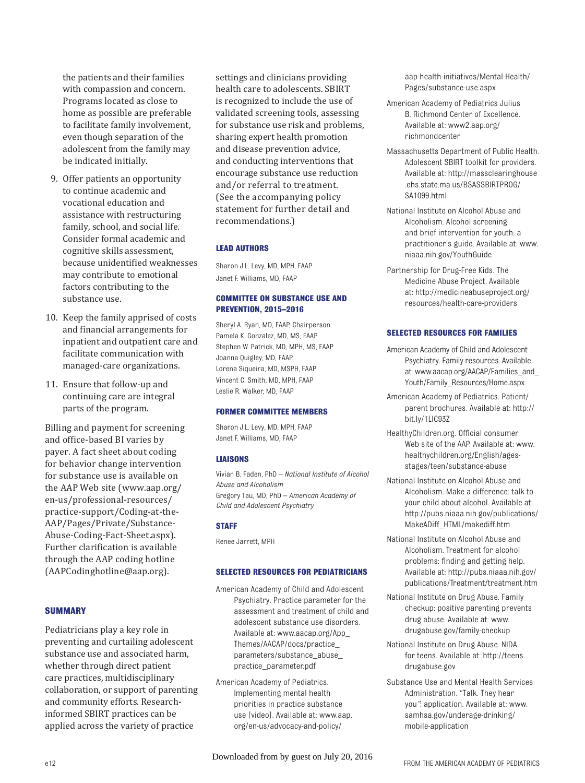the patients and their families with compassion and concern. Programs located as close to home as possible are preferable to facilitate family involvement, even though separation of the adolescent from the family may be indicated initially.

- 9. Offer patients an opportunity to continue academic and vocational education and assistance with restructuring family, school, and social life. Consider formal academic and cognitive skills assessment, because unidentified weaknesses may contribute to emotional factors contributing to the substance use.
- 10. Keep the family apprised of costs and financial arrangements for inpatient and outpatient care and facilitate communication with managed-care organizations.
- 11. Ensure that follow-up and continuing care are integral parts of the program.

Billing and payment for screening and office-based BI varies by payer. A fact sheet about coding for behavior change intervention for substance use is available on the AAP Web site (www.aap.org/ en-us/professional-resources/ practice-support/Coding-at-the-AAP/ Pages/ Private/ Substance-Abuse-Coding-Fact-Sheet.aspx). Further clarification is available through the AAP coding hotline (AAPCodinghotline@aap.org).

#### **SUMMARY**

Pediatricians play a key role in preventing and curtailing adolescent substance use and associated harm, whether through direct patient care practices, multidisciplinary collaboration, or support of parenting and community efforts. Researchinformed SBIRT practices can be applied across the variety of practice

settings and clinicians providing health care to adolescents. SBIRT is recognized to include the use of validated screening tools, assessing for substance use risk and problems, sharing expert health promotion and disease prevention advice, and conducting interventions that encourage substance use reduction and/or referral to treatment. (See the accompanying policy statement for further detail and recommendations.)

#### **LEAD AUTHORS**

Sharon J.L. Levy, MD, MPH, FAAP Janet F. Williams, MD, FAAP

#### **COMMITTEE ON SUBSTANCE USE AND PREVENTION, 2015–2016**

Sheryl A. Ryan, MD, FAAP, Chairperson Pamela K. Gonzalez, MD, MS, FAAP Stephen W. Patrick, MD, MPH, MS, FAAP Joanna Quigley, MD, FAAP Lorena Siqueira, MD, MSPH, FAAP Vincent C. Smith, MD, MPH, FAAP Leslie R. Walker, MD, FAAP

#### **FORMER COMMITTEE MEMBERS**

Sharon J.L. Levy, MD, MPH, FAAP Janet F. Williams, MD, FAAP

#### **LIAISONS**

Vivian B. Faden, PhD – *National Institute of Alcohol Abuse and Alcoholism* Gregory Tau, MD, PhD – *American Academy of Child and Adolescent Psychiatry*

#### **STAFF**

Renee Jarrett, MPH

#### **SELECTED RESOURCES FOR PEDIATRICIANS**

- American Academy of Child and Adolescent Psychiatry. Practice parameter for the assessment and treatment of child and adolescent substance use disorders. Available at: www.aacap.org/App\_ Themes/AACAP/docs/practice\_ parameters/ substance\_abuse practice\_ parameter. pdf
- American Academy of Pediatrics. Implementing mental health priorities in practice substance use [video]. Available at: www.aap. org/en-us/advocacy-and-policy/

aap-health-initiatives/Mental-Health/ Pages/substance-use.aspx

- American Academy of Pediatrics Julius B. Richmond Center of Excellence. Available at: www2. aap. org/ richmondcenter
- Massachusetts Department of Public Health. Adolescent SBIRT toolkit for providers. Available at: http://massclearinghouse . ehs. state. ma. us/ BSASSBIRTPROG/ SA1099. html
- National Institute on Alcohol Abuse and Alcoholism. Alcohol screening and brief intervention for youth: a practitioner's guide. Available at: www. niaaa. nih. gov/ YouthGuide
- Partnership for Drug-Free Kids. The Medicine Abuse Project. Available at: http://medicineabuseproject.org/ resources/health-care-providers

#### **SELECTED RESOURCES FOR FAMILIES**

- American Academy of Child and Adolescent Psychiatry. Family resources. Available at: www.aacap.org/AACAP/Families\_and\_ Youth/Family\_Resources/Home.aspx
- American Academy of Pediatrics. Patient/ parent brochures. Available at: http:// bit.ly/1LIC93Z
- HealthyChildren.org. Official consumer Web site of the AAP. Available at: www. healthychildren.org/English/agesstages/teen/ substance-abuse
- National Institute on Alcohol Abuse and Alcoholism. Make a difference: talk to your child about alcohol. Available at: http://pubs.niaaa.nih.gov/publications/ MakeADiff\_ HTML/ makediff.htm
- National Institute on Alcohol Abuse and Alcoholism. Treatment for alcohol problems: finding and getting help. Available at: http:// pubs. niaaa. nih. gov/ publications/Treatment/treatment.htm
- National Institute on Drug Abuse. Family checkup: positive parenting prevents drug abuse. Available at: www. drugabuse.gov/family-checkup
- National Institute on Drug Abuse. NIDA for teens. Available at: http://teens. drugabuse. gov
- Substance Use and Mental Health Services Administration. "Talk. They hear you*"*: application. Available at: www. samhsa.gov/underage-drinking/ mobile-application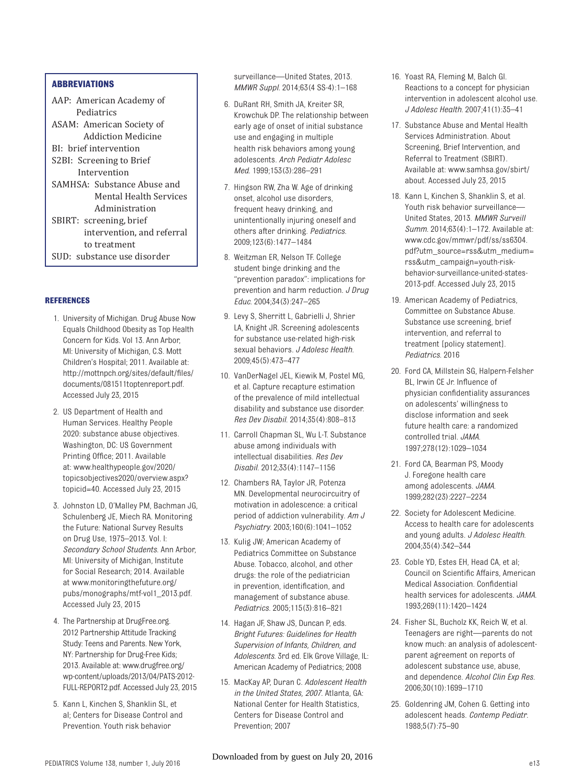#### **ABBREVIATIONS**

| AAP: American Academy of    |  |  |
|-----------------------------|--|--|
| Pediatrics                  |  |  |
| ASAM: American Society of   |  |  |
| <b>Addiction Medicine</b>   |  |  |
| BI: brief intervention      |  |  |
| S2BI: Screening to Brief    |  |  |
| Intervention                |  |  |
| SAMHSA: Substance Abuse and |  |  |
| Mental Health Services      |  |  |
| Administration              |  |  |
| SBIRT: screening, brief     |  |  |
| intervention, and referral  |  |  |
| to treatment                |  |  |
| SUD: substance use disorder |  |  |

#### **REFERENCES**

- 1. University of Michigan. Drug Abuse Now Equals Childhood Obesity as Top Health Concern for Kids. Vol 13. Ann Arbor, MI: University of Michigan, C.S. Mott Children's Hospital; 2011. Available at: http://mottnpch.org/sites/default/files/ documents/081511toptenreport.pdf. Accessed July 23, 2015
- 2. US Department of Health and Human Services. Healthy People 2020: substance abuse objectives. Washington, DC: US Government Printing Office; 2011. Available at: www.healthypeople.gov/2020/ topicsobjectives2020/overview.aspx? topicid= 40. Accessed July 23, 2015
- 3. Johnston LD, O'Malley PM, Bachman JG, Schulenberg JE, Miech RA. Monitoring the Future: National Survey Results on Drug Use, 1975–2013. Vol. I: *Secondary School Students*. Ann Arbor, MI: University of Michigan, Institute for Social Research; 2014. Available at www.monitoringthefuture.org/ pubs/monographs/mtf-vol1\_2013.pdf. Accessed July 23, 2015
- 4. The Partnership at DrugFree.org. 2012 Partnership Attitude Tracking Study: Teens and Parents. New York, NY: Partnership for Drug-Free Kids; 2013. Available at: www. drugfree. org/ wp-content/uploads/2013/04/PATS-2012-FULL-REPORT2.pdf. Accessed July 23, 2015
- 5. Kann L, Kinchen S, Shanklin SL, et al; Centers for Disease Control and Prevention. Youth risk behavior

surveillance—United States, 2013. *MMWR Suppl*. 2014;63(4 SS-4):1–168

- 6. DuRant RH, Smith JA, Kreiter SR, Krowchuk DP. The relationship between early age of onset of initial substance use and engaging in multiple health risk behaviors among young adolescents. *Arch Pediatr Adolesc Med*. 1999;153(3):286–291
- 7. Hingson RW, Zha W. Age of drinking onset, alcohol use disorders, frequent heavy drinking, and unintentionally injuring oneself and others after drinking. *Pediatrics*. 2009;123(6):1477–1484
- 8. Weitzman ER, Nelson TF. College student binge drinking and the "prevention paradox": implications for prevention and harm reduction. *J Drug Educ*. 2004;34(3):247–265
- 9. Levy S, Sherritt L, Gabrielli J, Shrier LA, Knight JR. Screening adolescents for substance use-related high-risk sexual behaviors. *J Adolesc Health*. 2009;45(5):473–477
- 10. VanDerNagel JEL, Kiewik M, Postel MG, et al. Capture recapture estimation of the prevalence of mild intellectual disability and substance use disorder. *Res Dev Disabil*. 2014;35(4):808–813
- 11. Carroll Chapman SL, Wu L-T. Substance abuse among individuals with intellectual disabilities. *Res Dev Disabil*. 2012;33(4):1147–1156
- 12. Chambers RA, Taylor JR, Potenza MN. Developmental neurocircuitry of motivation in adolescence: a critical period of addiction vulnerability. *Am J Psychiatry*. 2003;160(6):1041–1052
- 13. Kulig JW; American Academy of Pediatrics Committee on Substance Abuse. Tobacco, alcohol, and other drugs: the role of the pediatrician in prevention, identification, and management of substance abuse. *Pediatrics*. 2005;115(3):816–821
- 14. Hagan JF, Shaw JS, Duncan P, eds. *Bright Futures: Guidelines for Health Supervision of Infants, Children, and Adolescents*. 3rd ed. Elk Grove Village, IL: American Academy of Pediatrics; 2008
- 15. MacKay AP, Duran C. *Adolescent Health in the United States, 2007*. Atlanta, GA: National Center for Health Statistics, Centers for Disease Control and Prevention; 2007
- 16. Yoast RA, Fleming M, Balch GI. Reactions to a concept for physician intervention in adolescent alcohol use. *J Adolesc Health*. 2007;41(1):35–41
- 17. Substance Abuse and Mental Health Services Administration. About Screening, Brief Intervention, and Referral to Treatment (SBIRT). Available at: www.samhsa.gov/sbirt/ about. Accessed July 23, 2015
- 18. Kann L, Kinchen S, Shanklin S, et al. Youth risk behavior surveillance— United States, 2013. *MMWR Surveill Summ*. 2014;63(4):1–172. Available at: www.cdc.gov/mmwr/pdf/ss/ss6304. pdf?utm\_source=rss&utm\_medium= rss&utm\_campaign= youth-riskbehavior-surveillance-united-states-2013-pdf. Accessed July 23, 2015
- 19. American Academy of Pediatrics, Committee on Substance Abuse. Substance use screening, brief intervention, and referral to treatment [policy statement]. *Pediatrics*. 2016
- 20. Ford CA, Millstein SG, Halpern-Felsher BL, Irwin CE Jr. Influence of physician confidentiality assurances on adolescents' willingness to disclose information and seek future health care: a randomized controlled trial. *JAMA*. 1997;278(12):1029–1034
- 21. Ford CA, Bearman PS, Moody J. Foregone health care among adolescents. *JAMA*. 1999;282(23):2227–2234
- 22. Society for Adolescent Medicine. Access to health care for adolescents and young adults. *J Adolesc Health*. 2004;35(4):342–344
- 23. Coble YD, Estes EH, Head CA, et al; Council on Scientific Affairs, American Medical Association. Confidential health services for adolescents. *JAMA*. 1993;269(11):1420–1424
- 24. Fisher SL, Bucholz KK, Reich W, et al. Teenagers are right—parents do not know much: an analysis of adolescentparent agreement on reports of adolescent substance use, abuse, and dependence. *Alcohol Clin Exp Res*. 2006;30(10):1699–1710
- 25. Goldenring JM, Cohen G. Getting into adolescent heads. *Contemp Pediatr*. 1988;5(7):75–90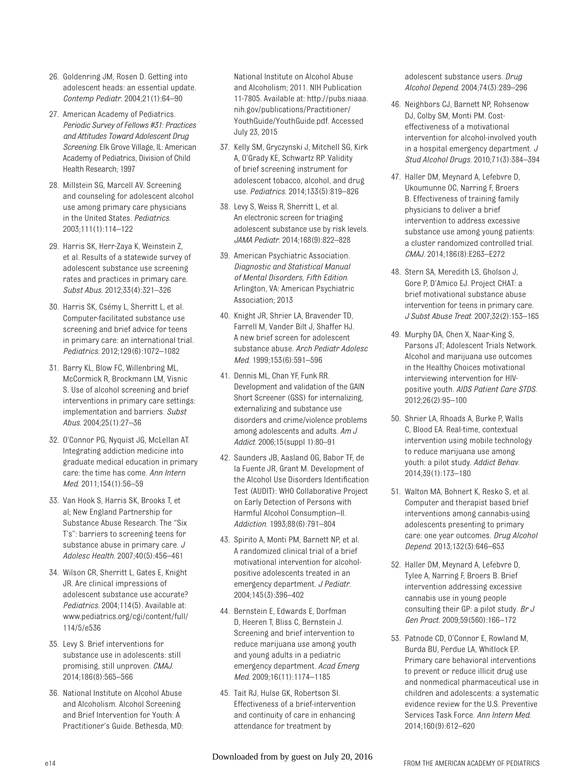- 26. Goldenring JM, Rosen D. Getting into adolescent heads: an essential update. *Contemp Pediatr*. 2004;21(1):64–90
- 27. American Academy of Pediatrics. *Periodic Survey of Fellows #31: Practices and Attitudes Toward Adolescent Drug Screening*. Elk Grove Village, IL: American Academy of Pediatrics, Division of Child Health Research; 1997
- 28. Millstein SG, Marcell AV. Screening and counseling for adolescent alcohol use among primary care physicians in the United States. *Pediatrics*. 2003;111(1):114–122
- 29. Harris SK, Herr-Zaya K, Weinstein Z, et al. Results of a statewide survey of adolescent substance use screening rates and practices in primary care. *Subst Abus*. 2012;33(4):321–326
- 30. Harris SK, Csémy L, Sherritt L, et al. Computer-facilitated substance use screening and brief advice for teens in primary care: an international trial. *Pediatrics*. 2012;129(6):1072–1082
- 31. Barry KL, Blow FC, Willenbring ML, McCormick R, Brockmann LM, Visnic S. Use of alcohol screening and brief interventions in primary care settings: implementation and barriers. *Subst Abus*. 2004;25(1):27–36
- 32. O'Connor PG, Nyquist JG, McLellan AT. Integrating addiction medicine into graduate medical education in primary care: the time has come. *Ann Intern Med*. 2011;154(1):56–59
- 33. Van Hook S, Harris SK, Brooks T, et al; New England Partnership for Substance Abuse Research. The "Six T's": barriers to screening teens for substance abuse in primary care. *J Adolesc Health*. 2007;40(5):456–461
- 34. Wilson CR, Sherritt L, Gates E, Knight JR. Are clinical impressions of adolescent substance use accurate? *Pediatrics*. 2004;114(5). Available at: www.pediatrics.org/cgi/content/full/ 114/5/e536
- 35. Levy S. Brief interventions for substance use in adolescents: still promising, still unproven. *CMAJ*. 2014;186(8):565–566
- 36. National Institute on Alcohol Abuse and Alcoholism. Alcohol Screening and Brief Intervention for Youth: A Practitioner's Guide. Bethesda, MD:

National Institute on Alcohol Abuse and Alcoholism; 2011. NIH Publication 11-7805. Available at: http:// pubs. niaaa. nih. gov/ publications/ Practitioner/ YouthGuide/ YouthGuide. pdf. Accessed July 23, 2015

- 37. Kelly SM, Gryczynski J, Mitchell SG, Kirk A, O'Grady KE, Schwartz RP. Validity of brief screening instrument for adolescent tobacco, alcohol, and drug use. *Pediatrics*. 2014;133(5):819–826
- 38. Levy S, Weiss R, Sherritt L, et al. An electronic screen for triaging adolescent substance use by risk levels. *JAMA Pediatr*. 2014;168(9):822–828
- 39. American Psychiatric Association. *Diagnostic and Statistical Manual of Mental Disorders*, *Fifth Edition*. Arlington, VA: American Psychiatric Association; 2013
- 40. Knight JR, Shrier LA, Bravender TD, Farrell M, Vander Bilt J, Shaffer HJ. A new brief screen for adolescent substance abuse. *Arch Pediatr Adolesc Med*. 1999;153(6):591–596
- 41. Dennis ML, Chan YF, Funk RR. Development and validation of the GAIN Short Screener (GSS) for internalizing, externalizing and substance use disorders and crime/violence problems among adolescents and adults. *Am J Addict*. 2006;15(suppl 1):80–91
- 42. Saunders JB, Aasland OG, Babor TF, de la Fuente JR, Grant M. Development of the Alcohol Use Disorders Identification Test (AUDIT): WHO Collaborative Project on Early Detection of Persons with Harmful Alcohol Consumption–II. *Addiction*. 1993;88(6):791–804
- 43. Spirito A, Monti PM, Barnett NP, et al. A randomized clinical trial of a brief motivational intervention for alcoholpositive adolescents treated in an emergency department. *J Pediatr*. 2004;145(3):396–402
- 44. Bernstein E, Edwards E, Dorfman D, Heeren T, Bliss C, Bernstein J. Screening and brief intervention to reduce marijuana use among youth and young adults in a pediatric emergency department. *Acad Emerg Med*. 2009;16(11):1174–1185
- 45. Tait RJ, Hulse GK, Robertson SI. Effectiveness of a brief-intervention and continuity of care in enhancing attendance for treatment by

adolescent substance users. *Drug Alcohol Depend*. 2004;74(3):289–296

- 46. Neighbors CJ, Barnett NP, Rohsenow DJ, Colby SM, Monti PM. Costeffectiveness of a motivational intervention for alcohol-involved youth in a hospital emergency department. *J Stud Alcohol Drugs*. 2010;71(3):384–394
- 47. Haller DM, Meynard A, Lefebvre D, Ukoumunne OC, Narring F, Broers B. Effectiveness of training family physicians to deliver a brief intervention to address excessive substance use among young patients: a cluster randomized controlled trial. *CMAJ*. 2014;186(8):E263–E272
- 48. Stern SA, Meredith LS, Gholson J, Gore P, D'Amico EJ. Project CHAT: a brief motivational substance abuse intervention for teens in primary care. *J Subst Abuse Treat*. 2007;32(2):153–165
- 49. Murphy DA, Chen X, Naar-King S, Parsons JT; Adolescent Trials Network. Alcohol and marijuana use outcomes in the Healthy Choices motivational interviewing intervention for HIVpositive youth. *AIDS Patient Care STDS*. 2012;26(2):95–100
- 50. Shrier LA, Rhoads A, Burke P, Walls C, Blood EA. Real-time, contextual intervention using mobile technology to reduce marijuana use among youth: a pilot study. *Addict Behav*. 2014;39(1):173–180
- 51. Walton MA, Bohnert K, Resko S, et al. Computer and therapist based brief interventions among cannabis-using adolescents presenting to primary care: one year outcomes. *Drug Alcohol Depend*. 2013;132(3):646–653
- 52. Haller DM, Meynard A, Lefebvre D, Tylee A, Narring F, Broers B. Brief intervention addressing excessive cannabis use in young people consulting their GP: a pilot study. *Br J Gen Pract*. 2009;59(560):166–172
- 53. Patnode CD, O'Connor E, Rowland M, Burda BU, Perdue LA, Whitlock EP. Primary care behavioral interventions to prevent or reduce illicit drug use and nonmedical pharmaceutical use in children and adolescents: a systematic evidence review for the U.S. Preventive Services Task Force. *Ann Intern Med*. 2014;160(9):612–620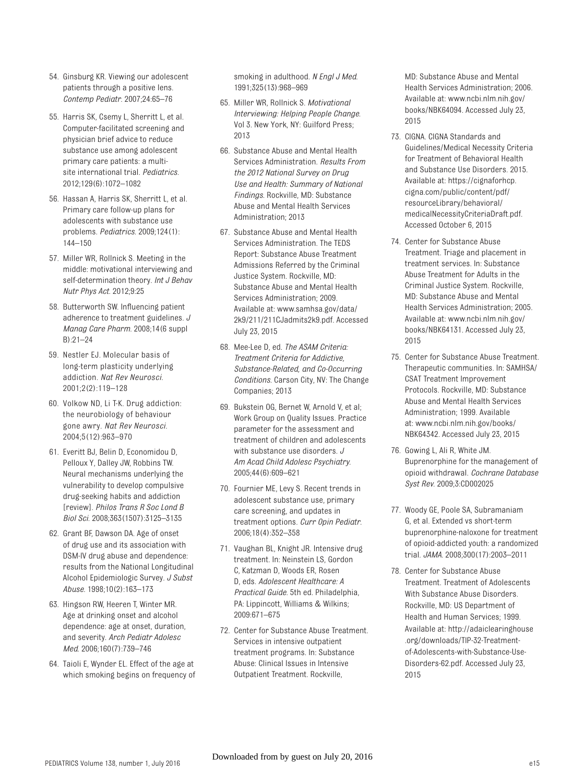- 54. Ginsburg KR. Viewing our adolescent patients through a positive lens. *Contemp Pediatr*. 2007;24:65–76
- 55. Harris SK, Csemy L, Sherritt L, et al. Computer-facilitated screening and physician brief advice to reduce substance use among adolescent primary care patients: a multisite international trial. *Pediatrics*. 2012;129(6):1072–1082
- 56. Hassan A, Harris SK, Sherritt L, et al. Primary care follow-up plans for adolescents with substance use problems. *Pediatrics*. 2009;124(1): 144–150
- 57. Miller WR, Rollnick S. Meeting in the middle: motivational interviewing and self-determination theory. *Int J Behav Nutr Phys Act*. 2012;9:25
- 58. Butterworth SW. Influencing patient adherence to treatment guidelines. *J Manag Care Pharm*. 2008;14(6 suppl B):21–24
- 59. Nestler EJ. Molecular basis of long-term plasticity underlying addiction. *Nat Rev Neurosci*. 2001;2(2):119–128
- 60. Volkow ND, Li T-K. Drug addiction: the neurobiology of behaviour gone awry. *Nat Rev Neurosci*. 2004;5(12):963–970
- 61. Everitt BJ, Belin D, Economidou D, Pelloux Y, Dalley JW, Robbins TW. Neural mechanisms underlying the vulnerability to develop compulsive drug-seeking habits and addiction [review]. *Philos Trans R Soc Lond B Biol Sci*. 2008;363(1507):3125–3135
- 62. Grant BF, Dawson DA. Age of onset of drug use and its association with DSM-IV drug abuse and dependence: results from the National Longitudinal Alcohol Epidemiologic Survey. *J Subst Abuse*. 1998;10(2):163–173
- 63. Hingson RW, Heeren T, Winter MR. Age at drinking onset and alcohol dependence: age at onset, duration, and severity. *Arch Pediatr Adolesc Med*. 2006;160(7):739–746
- 64. Taioli E, Wynder EL. Effect of the age at which smoking begins on frequency of

smoking in adulthood. *N Engl J Med*. 1991;325(13):968–969

- 65. Miller WR, Rollnick S. *Motivational Interviewing: Helping People Change*. Vol 3. New York, NY: Guilford Press; 2013
- 66. Substance Abuse and Mental Health Services Administration. *Results From the 2012 National Survey on Drug Use and Health: Summary of National Findings*. Rockville, MD: Substance Abuse and Mental Health Services Administration; 2013
- 67. Substance Abuse and Mental Health Services Administration. The TEDS Report: Substance Abuse Treatment Admissions Referred by the Criminal Justice System. Rockville, MD: Substance Abuse and Mental Health Services Administration; 2009. Available at: www.samhsa.gov/data/ 2k9/211/211CJadmits2k9.pdf. Accessed July 23, 2015
- 68. Mee-Lee D, ed. *The ASAM Criteria: Treatment Criteria for Addictive, Substance-Related, and Co-Occurring Conditions*. Carson City, NV: The Change Companies; 2013
- 69. Bukstein OG, Bernet W, Arnold V, et al; Work Group on Quality Issues. Practice parameter for the assessment and treatment of children and adolescents with substance use disorders. *J Am Acad Child Adolesc Psychiatry*. 2005;44(6):609–621
- 70. Fournier ME, Levy S. Recent trends in adolescent substance use, primary care screening, and updates in treatment options. *Curr Opin Pediatr*. 2006;18(4):352–358
- 71. Vaughan BL, Knight JR. Intensive drug treatment. In: Neinstein LS, Gordon C, Katzman D, Woods ER, Rosen D, eds. *Adolescent Healthcare: A Practical Guide*. 5th ed. Philadelphia, PA: Lippincott, Williams & Wilkins; 2009:671–675
- 72. Center for Substance Abuse Treatment. Services in intensive outpatient treatment programs. In: Substance Abuse: Clinical Issues in Intensive Outpatient Treatment. Rockville,

MD: Substance Abuse and Mental Health Services Administration; 2006. Available at: www. ncbi. nlm. nih. gov/ books/ NBK64094. Accessed July 23, 2015

- 73. CIGNA. CIGNA Standards and Guidelines/Medical Necessity Criteria for Treatment of Behavioral Health and Substance Use Disorders. 2015. Available at: https:// cignaforhcp. cigna.com/public/content/pdf/ resourceLibrary/behavioral/ medicalNecessityCriteriaDraft.pdf. Accessed October 6, 2015
- 74. Center for Substance Abuse Treatment. Triage and placement in treatment services. In: Substance Abuse Treatment for Adults in the Criminal Justice System. Rockville, MD: Substance Abuse and Mental Health Services Administration; 2005. Available at: www. ncbi. nlm. nih. gov/ books/ NBK64131. Accessed July 23, 2015
- 75. Center for Substance Abuse Treatment. Therapeutic communities. In: SAMHSA/ CSAT Treatment Improvement Protocols. Rockville, MD: Substance Abuse and Mental Health Services Administration; 1999. Available at: www. ncbi. nlm. nih. gov/ books/ NBK64342. Accessed July 23, 2015
- 76. Gowing L, Ali R, White JM. Buprenorphine for the management of opioid withdrawal. *Cochrane Database Syst Rev*. 2009;3:CD002025
- 77. Woody GE, Poole SA, Subramaniam G, et al. Extended vs short-term buprenorphine-naloxone for treatment of opioid-addicted youth: a randomized trial. *JAMA*. 2008;300(17):2003–2011
- 78. Center for Substance Abuse Treatment. Treatment of Adolescents With Substance Abuse Disorders. Rockville, MD: US Department of Health and Human Services; 1999. Available at: http://adaiclearinghouse .org/downloads/TIP-32-Treatmentof-Adolescents-with-Substance-Use-Disorders-62.pdf. Accessed July 23, 2015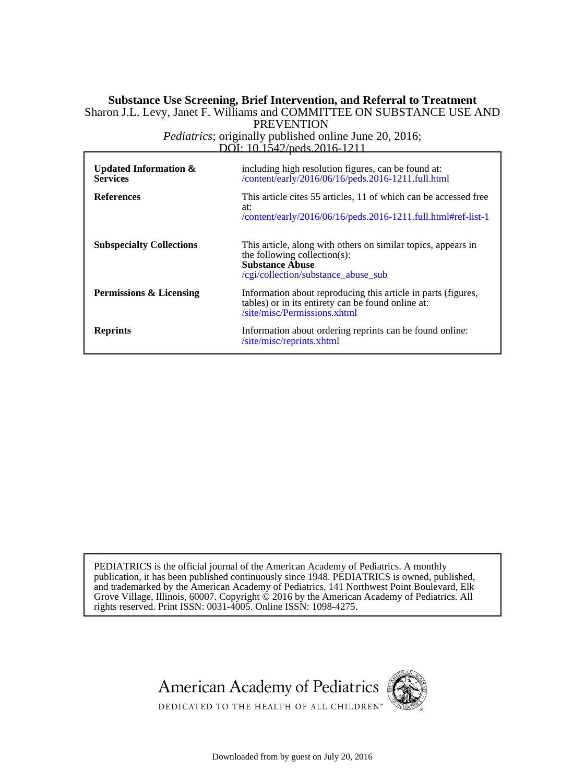### *Pediatrics*; originally published online June 20, 2016; PREVENTION Sharon J.L. Levy, Janet F. Williams and COMMITTEE ON SUBSTANCE USE AND **Substance Use Screening, Brief Intervention, and Referral to Treatment**

DOI: 10.1542/peds.2016-1211

 **Services Updated Information &** /content/early/2016/06/16/peds.2016-1211.full.html including high resolution figures, can be found at: **References** /content/early/2016/06/16/peds.2016-1211.full.html#ref-list-1 at: This article cites 55 articles, 11 of which can be accessed free **Subspecialty Collections** /cgi/collection/substance\_abuse\_sub **Substance Abuse** the following collection(s): This article, along with others on similar topics, appears in **Permissions & Licensing** /site/misc/Permissions.xhtml tables) or in its entirety can be found online at: Information about reproducing this article in parts (figures,  **Reprints** /site/misc/reprints.xhtml Information about ordering reprints can be found online:

rights reserved. Print ISSN: 0031-4005. Online ISSN: 1098-4275. Grove Village, Illinois, 60007. Copyright © 2016 by the American Academy of Pediatrics. All and trademarked by the American Academy of Pediatrics, 141 Northwest Point Boulevard, Elk publication, it has been published continuously since 1948. PEDIATRICS is owned, published, PEDIATRICS is the official journal of the American Academy of Pediatrics. A monthly





DEDICATED TO THE HEALTH OF ALL CHILDREN™